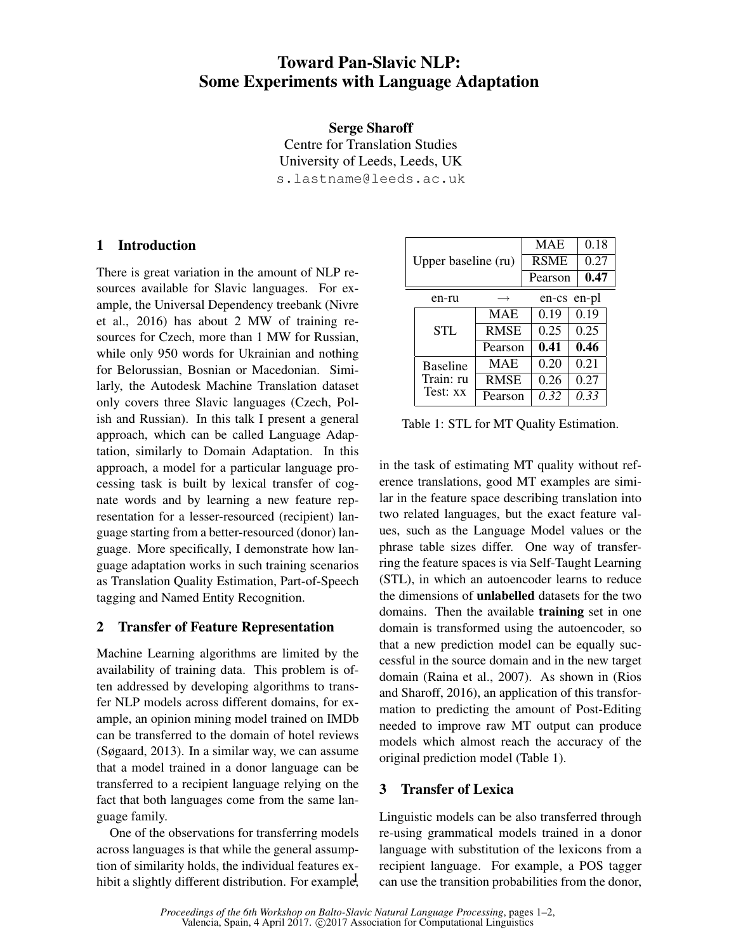# Toward Pan-Slavic NLP: Some Experiments with Language Adaptation

Serge Sharoff

Centre for Translation Studies University of Leeds, Leeds, UK s.lastname@leeds.ac.uk

## 1 Introduction

There is great variation in the amount of NLP resources available for Slavic languages. For example, the Universal Dependency treebank (Nivre et al., 2016) has about 2 MW of training resources for Czech, more than 1 MW for Russian, while only 950 words for Ukrainian and nothing for Belorussian, Bosnian or Macedonian. Similarly, the Autodesk Machine Translation dataset only covers three Slavic languages (Czech, Polish and Russian). In this talk I present a general approach, which can be called Language Adaptation, similarly to Domain Adaptation. In this approach, a model for a particular language processing task is built by lexical transfer of cognate words and by learning a new feature representation for a lesser-resourced (recipient) language starting from a better-resourced (donor) language. More specifically, I demonstrate how language adaptation works in such training scenarios as Translation Quality Estimation, Part-of-Speech tagging and Named Entity Recognition.

### 2 Transfer of Feature Representation

Machine Learning algorithms are limited by the availability of training data. This problem is often addressed by developing algorithms to transfer NLP models across different domains, for example, an opinion mining model trained on IMDb can be transferred to the domain of hotel reviews (Søgaard, 2013). In a similar way, we can assume that a model trained in a donor language can be transferred to a recipient language relying on the fact that both languages come from the same language family.

One of the observations for transferring models across languages is that while the general assumption of similarity holds, the individual features exhibit a slightly different distribution. For example,

| Upper baseline (ru) |                                          |                   | <b>MAE</b>  | 0.18        |  |
|---------------------|------------------------------------------|-------------------|-------------|-------------|--|
|                     |                                          |                   | <b>RSME</b> | 0.27        |  |
|                     |                                          |                   | Pearson     | 0.47        |  |
|                     | en-ru                                    | $\longrightarrow$ |             | en-cs en-pl |  |
|                     | STL.                                     | <b>MAE</b>        | 0.19        | 0.19        |  |
|                     |                                          | <b>RMSE</b>       | 0.25        | 0.25        |  |
|                     |                                          | Pearson           | 0.41        | 0.46        |  |
|                     | <b>Baseline</b><br>Train: ru<br>Test: xx | <b>MAE</b>        | 0.20        | 0.21        |  |
|                     |                                          | <b>RMSE</b>       | 0.26        | 0.27        |  |
|                     |                                          | Pearson           | 0.32        | 0.33        |  |

Table 1: STL for MT Quality Estimation.

in the task of estimating MT quality without reference translations, good MT examples are similar in the feature space describing translation into two related languages, but the exact feature values, such as the Language Model values or the phrase table sizes differ. One way of transferring the feature spaces is via Self-Taught Learning (STL), in which an autoencoder learns to reduce the dimensions of unlabelled datasets for the two domains. Then the available **training** set in one domain is transformed using the autoencoder, so that a new prediction model can be equally successful in the source domain and in the new target domain (Raina et al., 2007). As shown in (Rios and Sharoff, 2016), an application of this transformation to predicting the amount of Post-Editing needed to improve raw MT output can produce models which almost reach the accuracy of the original prediction model (Table 1).

## 3 Transfer of Lexica

Linguistic models can be also transferred through re-using grammatical models trained in a donor language with substitution of the lexicons from a recipient language. For example, a POS tagger can use the transition probabilities from the donor,

*Proceedings of the 6th Workshop on Balto-Slavic Natural Language Processing*, pages 1–2, Valencia, Spain, 4 April 2017. C2017 Association for Computational Linguistics